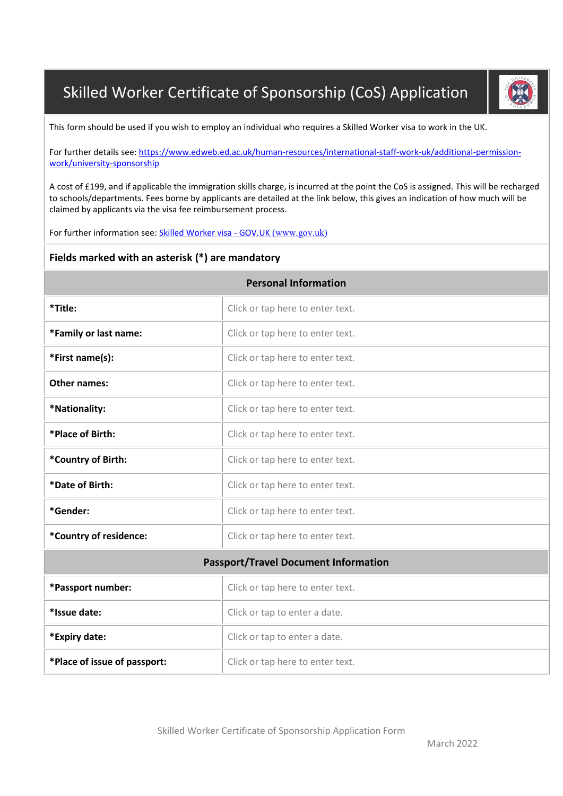## Skilled Worker Certificate of Sponsorship (CoS) Application



This form should be used if you wish to employ an individual who requires a Skilled Worker visa to work in the UK.

For further details see: [https://www.edweb.ed.ac.uk/human-resources/international-staff-work-uk/additional-permission](https://www.edweb.ed.ac.uk/human-resources/international-staff-work-uk/additional-permission-work/university-sponsorship)[work/university-sponsorship](https://www.edweb.ed.ac.uk/human-resources/international-staff-work-uk/additional-permission-work/university-sponsorship)

A cost of £199, and if applicable the immigration skills charge, is incurred at the point the CoS is assigned. This will be recharged to schools/departments. Fees borne by applicants are detailed at the link below, this gives an indication of how much will be claimed by applicants via the visa fee reimbursement process.

For further information see[: Skilled Worker visa -](https://www.gov.uk/skilled-worker-visa) GOV.UK (www.gov.uk)

## **Fields marked with an asterisk (\*) are mandatory**

| <b>Personal Information</b>                 |                                  |  |  |  |  |
|---------------------------------------------|----------------------------------|--|--|--|--|
| *Title:                                     | Click or tap here to enter text. |  |  |  |  |
| *Family or last name:                       | Click or tap here to enter text. |  |  |  |  |
| *First name(s):                             | Click or tap here to enter text. |  |  |  |  |
| Other names:                                | Click or tap here to enter text. |  |  |  |  |
| *Nationality:                               | Click or tap here to enter text. |  |  |  |  |
| *Place of Birth:                            | Click or tap here to enter text. |  |  |  |  |
| *Country of Birth:                          | Click or tap here to enter text. |  |  |  |  |
| *Date of Birth:                             | Click or tap here to enter text. |  |  |  |  |
| *Gender:                                    | Click or tap here to enter text. |  |  |  |  |
| *Country of residence:                      | Click or tap here to enter text. |  |  |  |  |
| <b>Passport/Travel Document Information</b> |                                  |  |  |  |  |
| *Passport number:                           | Click or tap here to enter text. |  |  |  |  |
| *Issue date:                                | Click or tap to enter a date.    |  |  |  |  |
| *Expiry date:                               | Click or tap to enter a date.    |  |  |  |  |
| *Place of issue of passport:                | Click or tap here to enter text. |  |  |  |  |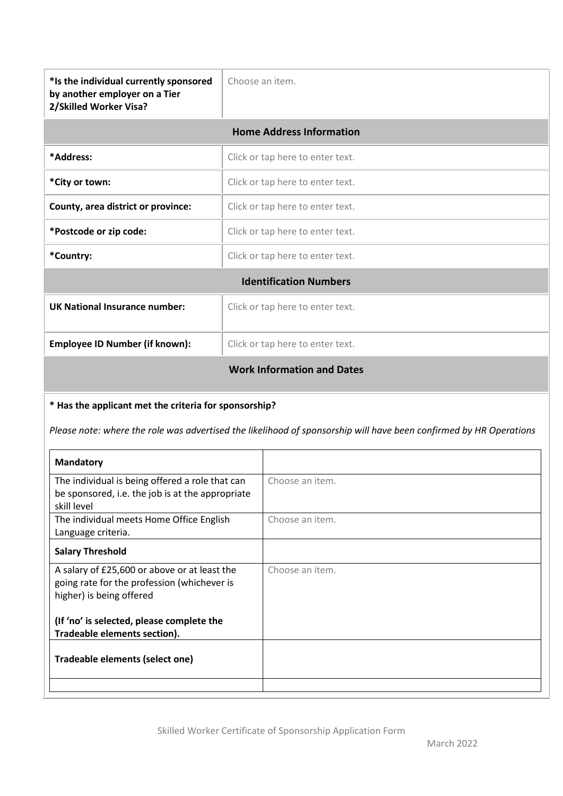| *Is the individual currently sponsored<br>by another employer on a Tier<br>2/Skilled Worker Visa? | Choose an item.                   |  |  |  |  |
|---------------------------------------------------------------------------------------------------|-----------------------------------|--|--|--|--|
| <b>Home Address Information</b>                                                                   |                                   |  |  |  |  |
| *Address:                                                                                         | Click or tap here to enter text.  |  |  |  |  |
| *City or town:                                                                                    | Click or tap here to enter text.  |  |  |  |  |
| County, area district or province:                                                                | Click or tap here to enter text.  |  |  |  |  |
| *Postcode or zip code:                                                                            | Click or tap here to enter text.  |  |  |  |  |
| *Country:                                                                                         | Click or tap here to enter text.  |  |  |  |  |
|                                                                                                   | <b>Identification Numbers</b>     |  |  |  |  |
| <b>UK National Insurance number:</b>                                                              | Click or tap here to enter text.  |  |  |  |  |
| <b>Employee ID Number (if known):</b>                                                             | Click or tap here to enter text.  |  |  |  |  |
|                                                                                                   | <b>Work Information and Dates</b> |  |  |  |  |

## **\* Has the applicant met the criteria for sponsorship?**

*Please note: where the role was advertised the likelihood of sponsorship will have been confirmed by HR Operations*

| <b>Mandatory</b>                                                                                                        |                 |
|-------------------------------------------------------------------------------------------------------------------------|-----------------|
| The individual is being offered a role that can                                                                         | Choose an item. |
| be sponsored, i.e. the job is at the appropriate<br>skill level                                                         |                 |
| The individual meets Home Office English<br>Language criteria.                                                          | Choose an item. |
| <b>Salary Threshold</b>                                                                                                 |                 |
| A salary of £25,600 or above or at least the<br>going rate for the profession (whichever is<br>higher) is being offered | Choose an item. |
| (If 'no' is selected, please complete the<br>Tradeable elements section).                                               |                 |
| Tradeable elements (select one)                                                                                         |                 |
|                                                                                                                         |                 |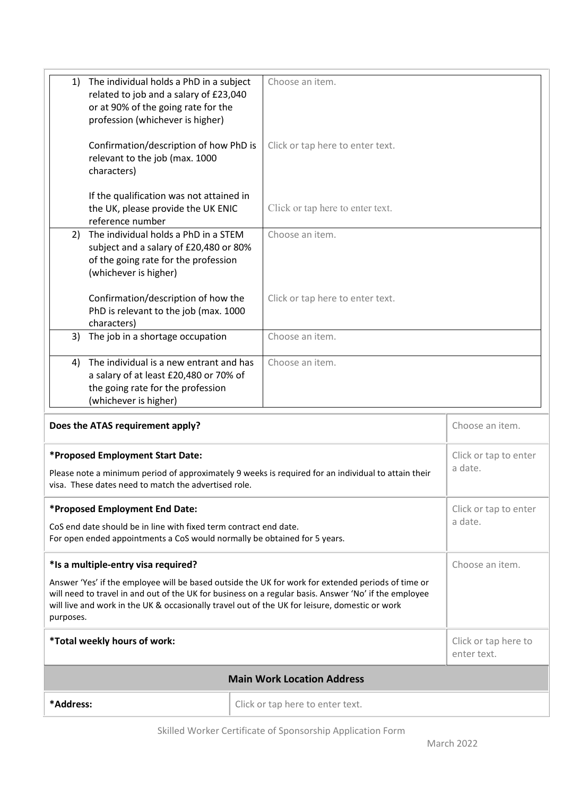| The individual holds a PhD in a subject<br>1)<br>related to job and a salary of £23,040<br>or at 90% of the going rate for the<br>profession (whichever is higher)                                                                                                                                                         | Choose an item.                   |                                     |  |  |  |
|----------------------------------------------------------------------------------------------------------------------------------------------------------------------------------------------------------------------------------------------------------------------------------------------------------------------------|-----------------------------------|-------------------------------------|--|--|--|
| Confirmation/description of how PhD is<br>relevant to the job (max. 1000<br>characters)                                                                                                                                                                                                                                    | Click or tap here to enter text.  |                                     |  |  |  |
| If the qualification was not attained in<br>the UK, please provide the UK ENIC<br>reference number                                                                                                                                                                                                                         | Click or tap here to enter text.  |                                     |  |  |  |
| The individual holds a PhD in a STEM<br>2)<br>subject and a salary of £20,480 or 80%<br>of the going rate for the profession<br>(whichever is higher)                                                                                                                                                                      | Choose an item.                   |                                     |  |  |  |
| Confirmation/description of how the<br>PhD is relevant to the job (max. 1000<br>characters)                                                                                                                                                                                                                                | Click or tap here to enter text.  |                                     |  |  |  |
| The job in a shortage occupation<br>3)                                                                                                                                                                                                                                                                                     | Choose an item.                   |                                     |  |  |  |
| The individual is a new entrant and has<br>4)<br>a salary of at least £20,480 or 70% of<br>the going rate for the profession<br>(whichever is higher)                                                                                                                                                                      | Choose an item.                   |                                     |  |  |  |
| Does the ATAS requirement apply?                                                                                                                                                                                                                                                                                           |                                   | Choose an item.                     |  |  |  |
| *Proposed Employment Start Date:<br>Please note a minimum period of approximately 9 weeks is required for an individual to attain their<br>visa. These dates need to match the advertised role.                                                                                                                            |                                   | Click or tap to enter<br>a date.    |  |  |  |
| *Proposed Employment End Date:<br>CoS end date should be in line with fixed term contract end date.<br>For open ended appointments a CoS would normally be obtained for 5 years.                                                                                                                                           |                                   | Click or tap to enter<br>a date.    |  |  |  |
| *Is a multiple-entry visa required?                                                                                                                                                                                                                                                                                        |                                   | Choose an item.                     |  |  |  |
| Answer 'Yes' if the employee will be based outside the UK for work for extended periods of time or<br>will need to travel in and out of the UK for business on a regular basis. Answer 'No' if the employee<br>will live and work in the UK & occasionally travel out of the UK for leisure, domestic or work<br>purposes. |                                   |                                     |  |  |  |
| *Total weekly hours of work:                                                                                                                                                                                                                                                                                               |                                   | Click or tap here to<br>enter text. |  |  |  |
|                                                                                                                                                                                                                                                                                                                            | <b>Main Work Location Address</b> |                                     |  |  |  |
| *Address:                                                                                                                                                                                                                                                                                                                  | Click or tap here to enter text.  |                                     |  |  |  |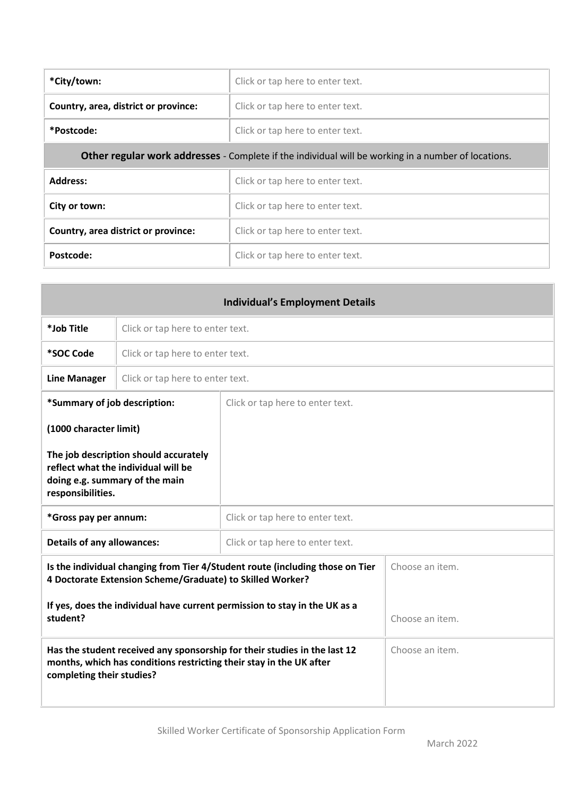| *City/town:                                                                                                | Click or tap here to enter text. |  |  |  |  |
|------------------------------------------------------------------------------------------------------------|----------------------------------|--|--|--|--|
| Country, area, district or province:                                                                       | Click or tap here to enter text. |  |  |  |  |
| *Postcode:                                                                                                 | Click or tap here to enter text. |  |  |  |  |
| <b>Other regular work addresses</b> - Complete if the individual will be working in a number of locations. |                                  |  |  |  |  |
| Address:                                                                                                   | Click or tap here to enter text. |  |  |  |  |
| City or town:                                                                                              | Click or tap here to enter text. |  |  |  |  |
| Country, area district or province:                                                                        | Click or tap here to enter text. |  |  |  |  |
| Postcode:                                                                                                  | Click or tap here to enter text. |  |  |  |  |

| <b>Individual's Employment Details</b>                                                                                                                                        |                                  |                                  |  |  |  |
|-------------------------------------------------------------------------------------------------------------------------------------------------------------------------------|----------------------------------|----------------------------------|--|--|--|
| *Job Title                                                                                                                                                                    |                                  | Click or tap here to enter text. |  |  |  |
| *SOC Code                                                                                                                                                                     | Click or tap here to enter text. |                                  |  |  |  |
| <b>Line Manager</b>                                                                                                                                                           | Click or tap here to enter text. |                                  |  |  |  |
| *Summary of job description:                                                                                                                                                  |                                  | Click or tap here to enter text. |  |  |  |
|                                                                                                                                                                               | (1000 character limit)           |                                  |  |  |  |
| The job description should accurately<br>reflect what the individual will be<br>doing e.g. summary of the main<br>responsibilities.                                           |                                  |                                  |  |  |  |
| *Gross pay per annum:                                                                                                                                                         |                                  | Click or tap here to enter text. |  |  |  |
| <b>Details of any allowances:</b><br>Click or tap here to enter text.                                                                                                         |                                  |                                  |  |  |  |
| Is the individual changing from Tier 4/Student route (including those on Tier<br>4 Doctorate Extension Scheme/Graduate) to Skilled Worker?                                    |                                  | Choose an item.                  |  |  |  |
| If yes, does the individual have current permission to stay in the UK as a<br>student?                                                                                        |                                  | Choose an item.                  |  |  |  |
| Has the student received any sponsorship for their studies in the last 12<br>months, which has conditions restricting their stay in the UK after<br>completing their studies? |                                  | Choose an item.                  |  |  |  |

 $\overline{\phantom{a}}$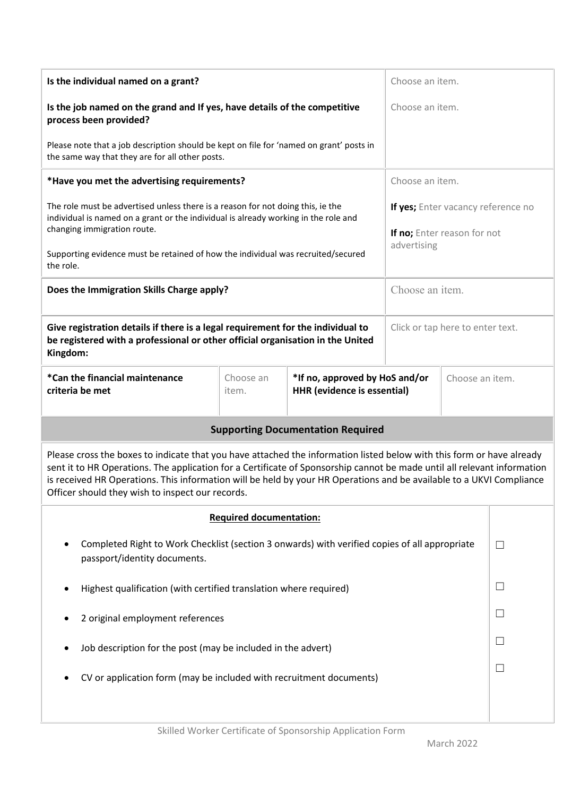| Is the individual named on a grant?                                                                                                                                                                                                                                                                                                                                                                                           |                                |                                                                      |                 | Choose an item.                                                                  |              |  |
|-------------------------------------------------------------------------------------------------------------------------------------------------------------------------------------------------------------------------------------------------------------------------------------------------------------------------------------------------------------------------------------------------------------------------------|--------------------------------|----------------------------------------------------------------------|-----------------|----------------------------------------------------------------------------------|--------------|--|
| Is the job named on the grand and If yes, have details of the competitive<br>process been provided?                                                                                                                                                                                                                                                                                                                           |                                |                                                                      |                 | Choose an item.                                                                  |              |  |
| Please note that a job description should be kept on file for 'named on grant' posts in<br>the same way that they are for all other posts.                                                                                                                                                                                                                                                                                    |                                |                                                                      |                 |                                                                                  |              |  |
| *Have you met the advertising requirements?                                                                                                                                                                                                                                                                                                                                                                                   |                                |                                                                      |                 | Choose an item.                                                                  |              |  |
| The role must be advertised unless there is a reason for not doing this, ie the<br>individual is named on a grant or the individual is already working in the role and<br>changing immigration route.                                                                                                                                                                                                                         |                                |                                                                      |                 | If yes; Enter vacancy reference no<br>If no; Enter reason for not<br>advertising |              |  |
| Supporting evidence must be retained of how the individual was recruited/secured<br>the role.                                                                                                                                                                                                                                                                                                                                 |                                |                                                                      |                 |                                                                                  |              |  |
| Does the Immigration Skills Charge apply?                                                                                                                                                                                                                                                                                                                                                                                     |                                |                                                                      |                 | Choose an item.                                                                  |              |  |
| Give registration details if there is a legal requirement for the individual to<br>be registered with a professional or other official organisation in the United<br>Kingdom:                                                                                                                                                                                                                                                 |                                |                                                                      |                 | Click or tap here to enter text.                                                 |              |  |
| *Can the financial maintenance<br>criteria be met                                                                                                                                                                                                                                                                                                                                                                             | Choose an<br>item.             | *If no, approved by HoS and/or<br><b>HHR</b> (evidence is essential) | Choose an item. |                                                                                  |              |  |
| <b>Supporting Documentation Required</b>                                                                                                                                                                                                                                                                                                                                                                                      |                                |                                                                      |                 |                                                                                  |              |  |
| Please cross the boxes to indicate that you have attached the information listed below with this form or have already<br>sent it to HR Operations. The application for a Certificate of Sponsorship cannot be made until all relevant information<br>is received HR Operations. This information will be held by your HR Operations and be available to a UKVI Compliance<br>Officer should they wish to inspect our records. |                                |                                                                      |                 |                                                                                  |              |  |
|                                                                                                                                                                                                                                                                                                                                                                                                                               | <b>Required documentation:</b> |                                                                      |                 |                                                                                  |              |  |
| Completed Right to Work Checklist (section 3 onwards) with verified copies of all appropriate<br>passport/identity documents.                                                                                                                                                                                                                                                                                                 |                                |                                                                      |                 |                                                                                  |              |  |
| Highest qualification (with certified translation where required)                                                                                                                                                                                                                                                                                                                                                             |                                |                                                                      |                 |                                                                                  |              |  |
| 2 original employment references                                                                                                                                                                                                                                                                                                                                                                                              |                                |                                                                      |                 |                                                                                  | $\mathbf{L}$ |  |
| Job description for the post (may be included in the advert)                                                                                                                                                                                                                                                                                                                                                                  |                                |                                                                      |                 |                                                                                  |              |  |
| CV or application form (may be included with recruitment documents)                                                                                                                                                                                                                                                                                                                                                           |                                |                                                                      |                 |                                                                                  | L            |  |